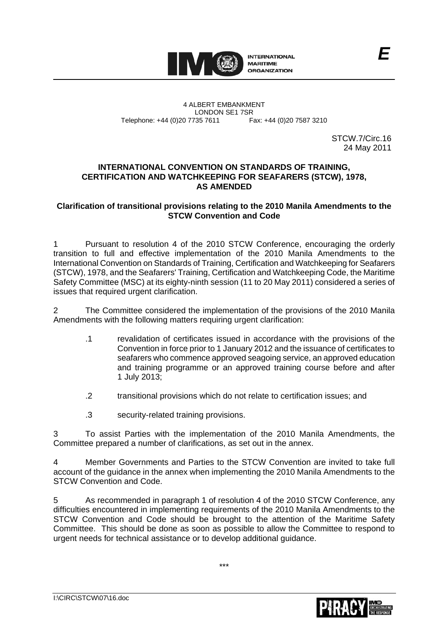

4 ALBERT EMBANKMENT Telephone: +44 (0)20 7735 7611

LONDON SE1 7SR<br>735 7611 Fax: +44 (0)20 7587 3210

STCW.7/Circ.16 24 May 2011

*E*

## **INTERNATIONAL CONVENTION ON STANDARDS OF TRAINING, CERTIFICATION AND WATCHKEEPING FOR SEAFARERS (STCW), 1978, AS AMENDED**

## **Clarification of transitional provisions relating to the 2010 Manila Amendments to the STCW Convention and Code**

1 Pursuant to resolution 4 of the 2010 STCW Conference, encouraging the orderly transition to full and effective implementation of the 2010 Manila Amendments to the International Convention on Standards of Training, Certification and Watchkeeping for Seafarers (STCW), 1978, and the Seafarers' Training, Certification and Watchkeeping Code, the Maritime Safety Committee (MSC) at its eighty-ninth session (11 to 20 May 2011) considered a series of issues that required urgent clarification.

2 The Committee considered the implementation of the provisions of the 2010 Manila Amendments with the following matters requiring urgent clarification:

- .1 revalidation of certificates issued in accordance with the provisions of the Convention in force prior to 1 January 2012 and the issuance of certificates to seafarers who commence approved seagoing service, an approved education and training programme or an approved training course before and after 1 July 2013;
- .2 transitional provisions which do not relate to certification issues; and
- .3 security-related training provisions.

3 To assist Parties with the implementation of the 2010 Manila Amendments, the Committee prepared a number of clarifications, as set out in the annex.

4 Member Governments and Parties to the STCW Convention are invited to take full account of the guidance in the annex when implementing the 2010 Manila Amendments to the STCW Convention and Code.

5 As recommended in paragraph 1 of resolution 4 of the 2010 STCW Conference, any difficulties encountered in implementing requirements of the 2010 Manila Amendments to the STCW Convention and Code should be brought to the attention of the Maritime Safety Committee. This should be done as soon as possible to allow the Committee to respond to urgent needs for technical assistance or to develop additional guidance.

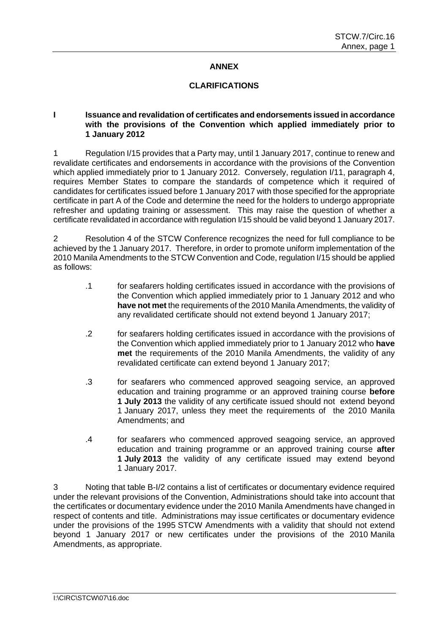## **ANNEX**

### **CLARIFICATIONS**

#### **I Issuance and revalidation of certificates and endorsements issued in accordance with the provisions of the Convention which applied immediately prior to 1 January 2012**

1 Regulation I/15 provides that a Party may, until 1 January 2017, continue to renew and revalidate certificates and endorsements in accordance with the provisions of the Convention which applied immediately prior to 1 January 2012. Conversely, regulation I/11, paragraph 4, requires Member States to compare the standards of competence which it required of candidates for certificates issued before 1 January 2017 with those specified for the appropriate certificate in part A of the Code and determine the need for the holders to undergo appropriate refresher and updating training or assessment. This may raise the question of whether a certificate revalidated in accordance with regulation I/15 should be valid beyond 1 January 2017.

2 Resolution 4 of the STCW Conference recognizes the need for full compliance to be achieved by the 1 January 2017. Therefore, in order to promote uniform implementation of the 2010 Manila Amendments to the STCW Convention and Code, regulation I/15 should be applied as follows:

- .1 for seafarers holding certificates issued in accordance with the provisions of the Convention which applied immediately prior to 1 January 2012 and who **have not met** the requirements of the 2010 Manila Amendments, the validity of any revalidated certificate should not extend beyond 1 January 2017;
- .2 for seafarers holding certificates issued in accordance with the provisions of the Convention which applied immediately prior to 1 January 2012 who **have met** the requirements of the 2010 Manila Amendments, the validity of any revalidated certificate can extend beyond 1 January 2017;
- .3 for seafarers who commenced approved seagoing service, an approved education and training programme or an approved training course **before 1 July 2013** the validity of any certificate issued should not extend beyond 1 January 2017, unless they meet the requirements of the 2010 Manila Amendments; and
- .4 for seafarers who commenced approved seagoing service, an approved education and training programme or an approved training course **after 1 July 2013** the validity of any certificate issued may extend beyond 1 January 2017.

3 Noting that table B-I/2 contains a list of certificates or documentary evidence required under the relevant provisions of the Convention, Administrations should take into account that the certificates or documentary evidence under the 2010 Manila Amendments have changed in respect of contents and title. Administrations may issue certificates or documentary evidence under the provisions of the 1995 STCW Amendments with a validity that should not extend beyond 1 January 2017 or new certificates under the provisions of the 2010 Manila Amendments, as appropriate.